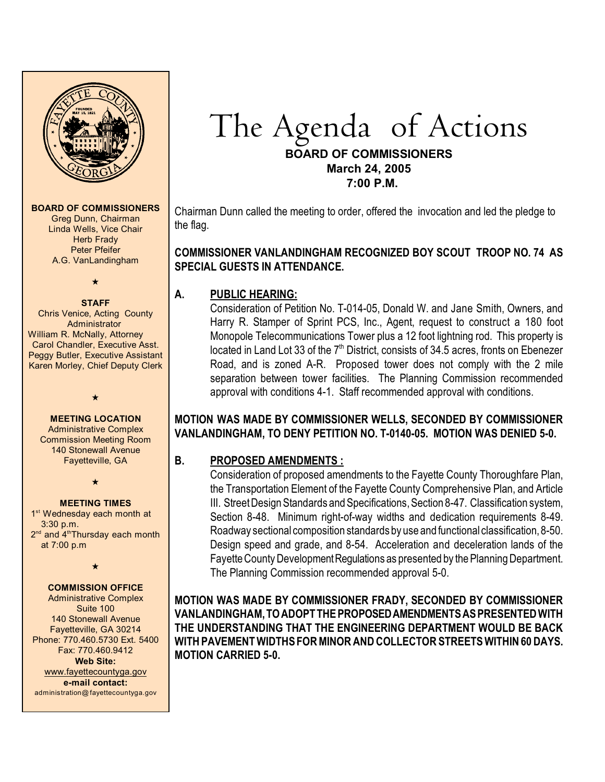

#### **BOARD OF COMMISSIONERS**

Greg Dunn, Chairman Linda Wells, Vice Chair **Herb Frady** Peter Pfeifer A.G. VanLandingham

# $\bigstar$

#### **STAFF**

Chris Venice, Acting County Administrator William R. McNally, Attorney Carol Chandler, Executive Asst. Peggy Butler, Executive Assistant Karen Morley, Chief Deputy Clerk

#### **MEETING LOCATION**

 $\star$ 

Administrative Complex Commission Meeting Room 140 Stonewall Avenue Fayetteville, GA

 $\star$ 

#### **MEETING TIMES**

1<sup>st</sup> Wednesday each month at 3:30 p.m.  $2<sup>nd</sup>$  and  $4<sup>th</sup>$ Thursdav each month at 7:00 p.m

 $\star$ 

#### **COMMISSION OFFICE**

Administrative Complex Suite 100 140 Stonewall Avenue Fayetteville, GA 30214 Phone: 770.460.5730 Ext. 5400 Fax: 770.460.9412 **Web Site:** [www.fayettecountyga.gov](http://www.admin.co.fayette.ga.us) **e-mail contact:** administration@fayettecountyga.gov

# The Agendaof Actions

#### **BOARD OF COMMISSIONERS March 24, 2005 7:00 P.M.**

Chairman Dunn called the meeting to order, offered the invocation and led the pledge to the flag.

## **COMMISSIONER VANLANDINGHAM RECOGNIZED BOY SCOUT TROOP NO. 74 AS SPECIAL GUESTS IN ATTENDANCE.**

#### **A. PUBLIC HEARING:**

Consideration of Petition No. T-014-05, Donald W. and Jane Smith, Owners, and Harry R. Stamper of Sprint PCS, Inc., Agent, request to construct a 180 foot Monopole Telecommunications Tower plus a 12 foot lightning rod. This property is located in Land Lot 33 of the  $7<sup>th</sup>$  District, consists of 34.5 acres, fronts on Ebenezer Road, and is zoned A-R. Proposed tower does not comply with the 2 mile separation between tower facilities. The Planning Commission recommended approval with conditions 4-1. Staff recommended approval with conditions.

## **MOTION WAS MADE BY COMMISSIONER WELLS, SECONDED BY COMMISSIONER VANLANDINGHAM, TO DENY PETITION NO. T-0140-05. MOTION WAS DENIED 5-0.**

## **B. PROPOSED AMENDMENTS :**

Consideration of proposed amendments to the Fayette County Thoroughfare Plan, the Transportation Element of the Fayette County Comprehensive Plan, and Article III. Street Design Standards and Specifications, Section 8-47. Classification system, Section 8-48. Minimum right-of-way widths and dedication requirements 8-49. Roadway sectional composition standards by use and functional classification, 8-50. Design speed and grade, and 8-54. Acceleration and deceleration lands of the Fayette County Development Regulations as presented by the Planning Department. The Planning Commission recommended approval 5-0.

**MOTION WAS MADE BY COMMISSIONER FRADY, SECONDED BY COMMISSIONER VANLANDINGHAM, TO ADOPT THE PROPOSED AMENDMENTS AS PRESENTED WITH THE UNDERSTANDING THAT THE ENGINEERING DEPARTMENT WOULD BE BACK WITH PAVEMENT WIDTHS FOR MINOR AND COLLECTOR STREETS WITHIN 60 DAYS. MOTION CARRIED 5-0.**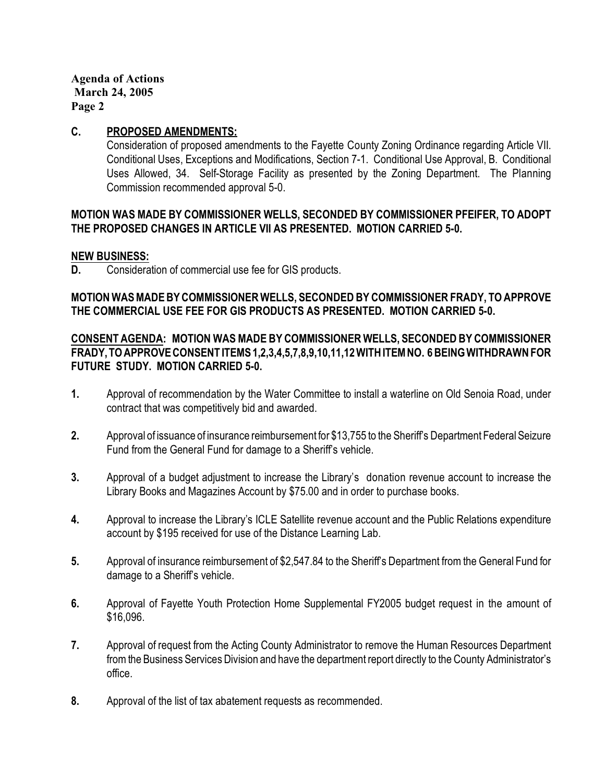#### **C. PROPOSED AMENDMENTS:**

Consideration of proposed amendments to the Fayette County Zoning Ordinance regarding Article VII. Conditional Uses, Exceptions and Modifications, Section 7-1. Conditional Use Approval, B. Conditional Uses Allowed, 34. Self-Storage Facility as presented by the Zoning Department. The Planning Commission recommended approval 5-0.

#### **MOTION WAS MADE BY COMMISSIONER WELLS, SECONDED BY COMMISSIONER PFEIFER, TO ADOPT THE PROPOSED CHANGES IN ARTICLE VII AS PRESENTED. MOTION CARRIED 5-0.**

#### **NEW BUSINESS:**

**D.** Consideration of commercial use fee for GIS products.

# **MOTION WAS MADE BY COMMISSIONERWELLS, SECONDED BY COMMISSIONER FRADY, TO APPROVE THE COMMERCIAL USE FEE FOR GIS PRODUCTS AS PRESENTED. MOTION CARRIED 5-0.**

## **CONSENT AGENDA: MOTION WAS MADE BY COMMISSIONER WELLS, SECONDED BY COMMISSIONER FRADY, TO APPROVE CONSENT ITEMS 1,2,3,4,5,7,8,9,10,11,12 WITH ITEM NO. 6 BEING WITHDRAWN FOR FUTURE STUDY. MOTION CARRIED 5-0.**

- **1.** Approval of recommendation by the Water Committee to install a waterline on Old Senoia Road, under contract that was competitively bid and awarded.
- **2.** Approval of issuance of insurance reimbursement for \$13,755 to the Sheriff's Department Federal Seizure Fund from the General Fund for damage to a Sheriff's vehicle.
- **3.** Approval of a budget adjustment to increase the Library's donation revenue account to increase the Library Books and Magazines Account by \$75.00 and in order to purchase books.
- **4.** Approval to increase the Library's ICLE Satellite revenue account and the Public Relations expenditure account by \$195 received for use of the Distance Learning Lab.
- **5.** Approval of insurance reimbursement of \$2,547.84 to the Sheriff's Department from the General Fund for damage to a Sheriff's vehicle.
- **6.** Approval of Fayette Youth Protection Home Supplemental FY2005 budget request in the amount of \$16,096.
- **7.** Approval of request from the Acting County Administrator to remove the Human Resources Department from the Business Services Division and have the department report directly to the County Administrator's office.
- **8.** Approval of the list of tax abatement requests as recommended.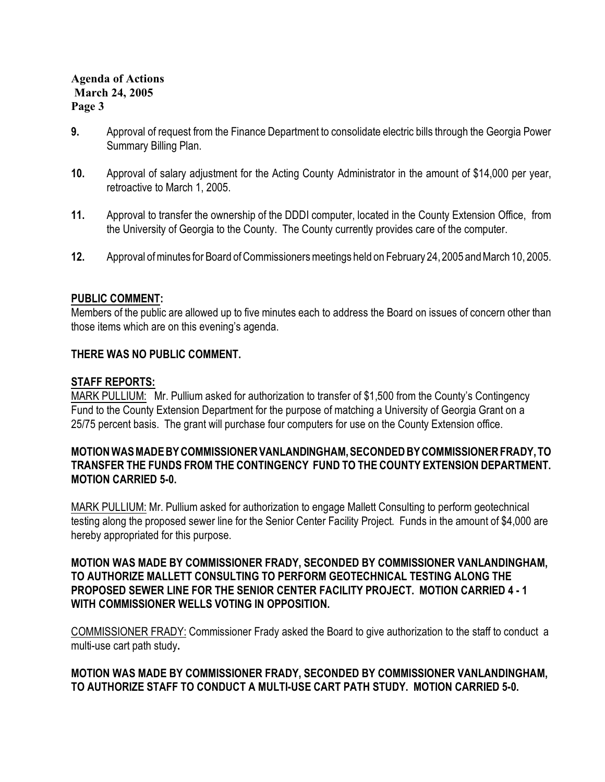- **9.** Approval of request from the Finance Department to consolidate electric bills through the Georgia Power Summary Billing Plan.
- **10.** Approval of salary adjustment for the Acting County Administrator in the amount of \$14,000 per year, retroactive to March 1, 2005.
- **11.** Approval to transfer the ownership of the DDDI computer, located in the County Extension Office, from the University of Georgia to the County. The County currently provides care of the computer.
- **12.** Approval of minutes for Board of Commissioners meetings held on February 24,2005 and March 10, 2005.

# **PUBLIC COMMENT:**

Members of the public are allowed up to five minutes each to address the Board on issues of concern other than those items which are on this evening's agenda.

# **THERE WAS NO PUBLIC COMMENT.**

# **STAFF REPORTS:**

MARK PULLIUM: Mr. Pullium asked for authorization to transfer of \$1,500 from the County's Contingency Fund to the County Extension Department for the purpose of matching a University of Georgia Grant on a 25/75 percent basis. The grant will purchase four computers for use on the County Extension office.

## **MOTION WAS MADE BY COMMISSIONER VANLANDINGHAM, SECONDED BY COMMISSIONER FRADY, TO TRANSFER THE FUNDS FROM THE CONTINGENCY FUND TO THE COUNTY EXTENSION DEPARTMENT. MOTION CARRIED 5-0.**

MARK PULLIUM: Mr. Pullium asked for authorization to engage Mallett Consulting to perform geotechnical testing along the proposed sewer line for the Senior Center Facility Project. Funds in the amount of \$4,000 are hereby appropriated for this purpose.

# **MOTION WAS MADE BY COMMISSIONER FRADY, SECONDED BY COMMISSIONER VANLANDINGHAM, TO AUTHORIZE MALLETT CONSULTING TO PERFORM GEOTECHNICAL TESTING ALONG THE PROPOSED SEWER LINE FOR THE SENIOR CENTER FACILITY PROJECT. MOTION CARRIED 4 - 1 WITH COMMISSIONER WELLS VOTING IN OPPOSITION.**

COMMISSIONER FRADY: Commissioner Frady asked the Board to give authorization to the staff to conduct a multi-use cart path study**.**

# **MOTION WAS MADE BY COMMISSIONER FRADY, SECONDED BY COMMISSIONER VANLANDINGHAM, TO AUTHORIZE STAFF TO CONDUCT A MULTI-USE CART PATH STUDY. MOTION CARRIED 5-0.**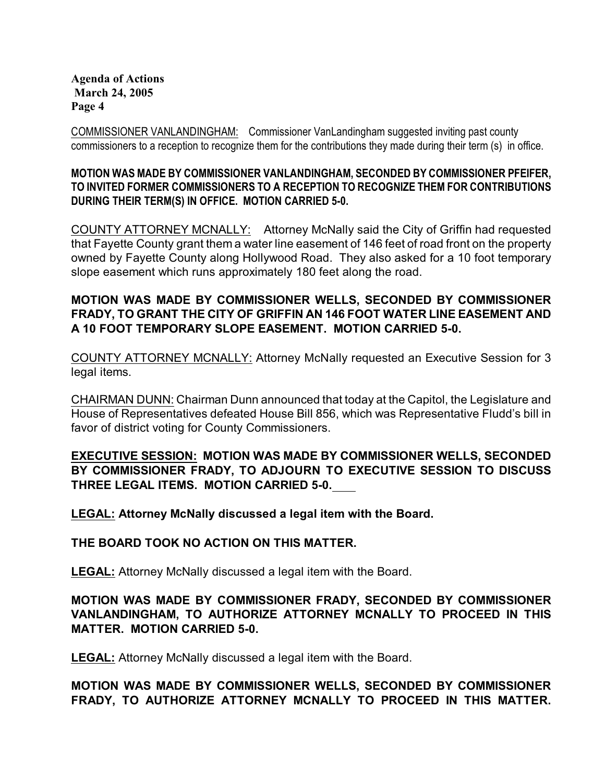COMMISSIONER VANLANDINGHAM: Commissioner VanLandingham suggested inviting past county commissioners to a reception to recognize them for the contributions they made during their term (s) in office.

## **MOTION WAS MADE BY COMMISSIONER VANLANDINGHAM, SECONDED BY COMMISSIONER PFEIFER, TO INVITED FORMER COMMISSIONERS TO A RECEPTION TO RECOGNIZE THEM FOR CONTRIBUTIONS DURING THEIR TERM(S) IN OFFICE. MOTION CARRIED 5-0.**

COUNTY ATTORNEY MCNALLY:Attorney McNally said the City of Griffin had requested that Fayette County grant them a water line easement of 146 feet of road front on the property owned by Fayette County along Hollywood Road. They also asked for a 10 foot temporary slope easement which runs approximately 180 feet along the road.

# **MOTION WAS MADE BY COMMISSIONER WELLS, SECONDED BY COMMISSIONER FRADY, TO GRANT THE CITY OF GRIFFIN AN 146 FOOT WATER LINE EASEMENT AND A 10 FOOT TEMPORARY SLOPE EASEMENT. MOTION CARRIED 5-0.**

COUNTY ATTORNEY MCNALLY: Attorney McNally requested an Executive Session for 3 legal items.

CHAIRMAN DUNN: Chairman Dunn announced that today at the Capitol, the Legislature and House of Representatives defeated House Bill 856, which was Representative Fludd's bill in favor of district voting for County Commissioners.

# **EXECUTIVE SESSION: MOTION WAS MADE BY COMMISSIONER WELLS, SECONDED BY COMMISSIONER FRADY, TO ADJOURN TO EXECUTIVE SESSION TO DISCUSS THREE LEGAL ITEMS. MOTION CARRIED 5-0.**

**LEGAL: Attorney McNally discussed a legal item with the Board.**

## **THE BOARD TOOK NO ACTION ON THIS MATTER.**

**LEGAL:** Attorney McNally discussed a legal item with the Board.

# **MOTION WAS MADE BY COMMISSIONER FRADY, SECONDED BY COMMISSIONER VANLANDINGHAM, TO AUTHORIZE ATTORNEY MCNALLY TO PROCEED IN THIS MATTER. MOTION CARRIED 5-0.**

**LEGAL:** Attorney McNally discussed a legal item with the Board.

# **MOTION WAS MADE BY COMMISSIONER WELLS, SECONDED BY COMMISSIONER FRADY, TO AUTHORIZE ATTORNEY MCNALLY TO PROCEED IN THIS MATTER.**